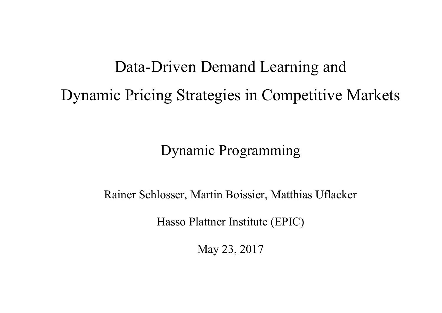# Data-Driven Demand Learning and Dynamic Pricing Strategies in Competitive Markets

Dynamic Programming

Rainer Schlosser, Martin Boissier, Matthias Uflacker

Hasso Plattner Institute (EPIC)

May 23, 2017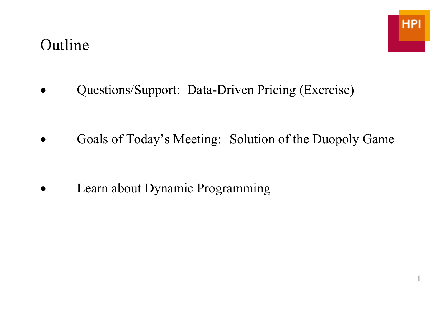#### Outline

1

• Questions/Support: Data-Driven Pricing (Exercise)

• Goals of Today's Meeting: Solution of the Duopoly Game

Learn about Dynamic Programming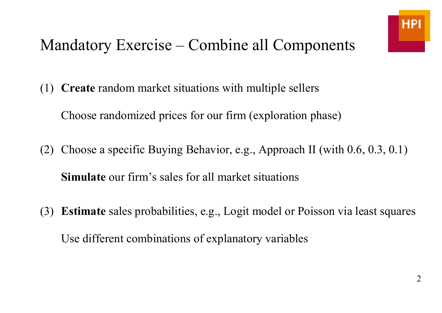# Mandatory Exercise – Combine all Components

(1) **Create** random market situations with multiple sellers

Choose randomized prices for our firm (exploration phase)

- (2) Choose a specific Buying Behavior, e.g., Approach II (with 0.6, 0.3, 0.1) **Simulate** our firm's sales for all market situations
- (3) **Estimate** sales probabilities, e.g., Logit model or Poisson via least squares Use different combinations of explanatory variables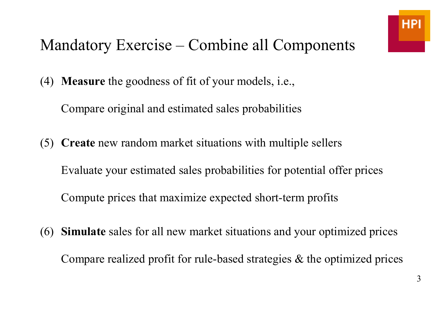# Mandatory Exercise – Combine all Components

(4) **Measure** the goodness of fit of your models, i.e.,

Compare original and estimated sales probabilities

- (5) **Create** new random market situations with multiple sellers Evaluate your estimated sales probabilities for potential offer prices Compute prices that maximize expected short-term profits
- (6) **Simulate** sales for all new market situations and your optimized prices Compare realized profit for rule-based strategies & the optimized prices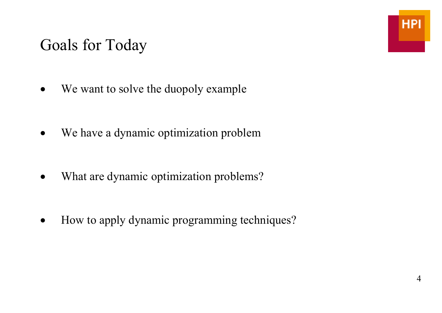#### Goals for Today

- We want to solve the duopoly example
- We have a dynamic optimization problem
- What are dynamic optimization problems?
- How to apply dynamic programming techniques?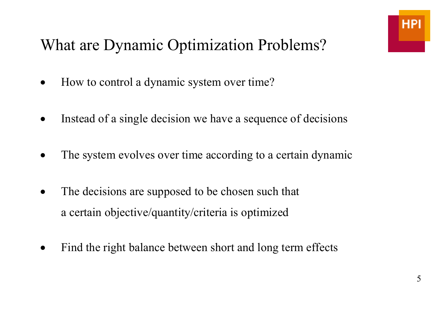# What are Dynamic Optimization Problems?

- How to control a dynamic system over time?
- Instead of a single decision we have a sequence of decisions
- The system evolves over time according to a certain dynamic
- The decisions are supposed to be chosen such that a certain objective/quantity/criteria is optimized
- Find the right balance between short and long term effects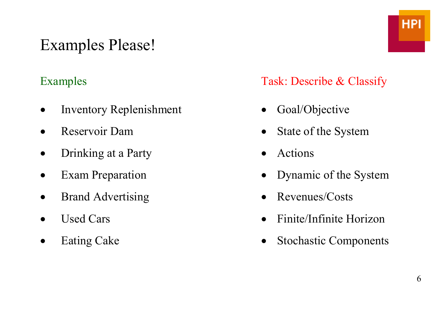# Examples Please!

- Inventory Replenishment Goal/Objective
- 
- Drinking at a Party Actions
- 
- 
- 
- 

Examples Task: Describe & Classify

- 
- **Provide Reservoir Dam** State of the System
	-
- Exam Preparation Dynamic of the System
	- **Brand Advertising Revenues/Costs**
- Used Cars Finite/Infinite Horizon
- Eating Cake Stochastic Components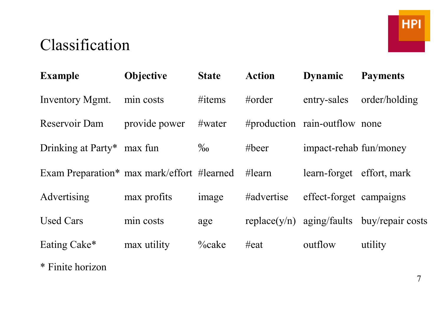# Classification

| <b>Example</b>                             | Objective     | <b>State</b> | <b>Action</b>   | <b>Dynamic</b>                | <b>Payments</b>                                |
|--------------------------------------------|---------------|--------------|-----------------|-------------------------------|------------------------------------------------|
| Inventory Mgmt.                            | min costs     | $\#items$    | #order          | entry-sales                   | order/holding                                  |
| Reservoir Dam                              | provide power | #water       |                 | #production rain-outflow none |                                                |
| Drinking at Party* max fun                 |               | $\%$         | $# \text{beer}$ | impact-rehab fun/money        |                                                |
| Exam Preparation* max mark/effort #learned |               |              | #learn          | learn-forget effort, mark     |                                                |
| Advertising                                | max profits   | image        | #advertise      | effect-forget campaigns       |                                                |
| <b>Used Cars</b>                           | min costs     | age          |                 |                               | replace( $y/n$ ) aging/faults buy/repair costs |
| Eating Cake*                               | max utility   | $\%$ cake    | $\#$ eat        | outflow                       | utility                                        |
| * Finite horizon                           |               |              |                 |                               |                                                |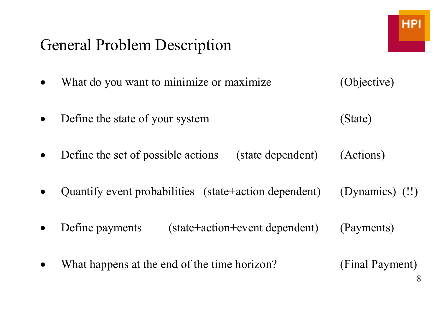#### General Problem Description

- What do you want to minimize or maximize (Objective)
- Define the state of your system (State)
- Define the set of possible actions (state dependent) (Actions)
- Quantify event probabilities (state+action dependent) (Dynamics) (!!)
- Define payments (state+action+event dependent) (Payments)
- What happens at the end of the time horizon? (Final Payment)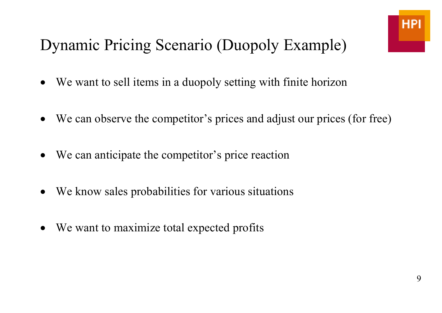# Dynamic Pricing Scenario (Duopoly Example)

- We want to sell items in a duopoly setting with finite horizon
- We can observe the competitor's prices and adjust our prices (for free)
- We can anticipate the competitor's price reaction
- We know sales probabilities for various situations
- We want to maximize total expected profits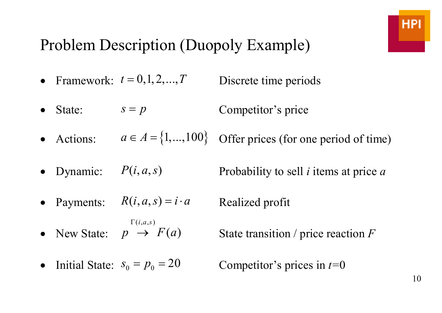# Problem Description (Duopoly Example)

- Framework:  $t = 0, 1, 2, \dots, T$  Discrete time periods
- State:  $s = p$  Competitor's price
- Actions:  $a \in A = \{1,...,100\}$  Offer prices (for one period of time)
- Dynamic:  $P(i, a, s)$  Probability to sell *i* items at price *a*

• Payments:  $R(i, a, s) = i \cdot a$  Realized profit

• New State:  $(i, a, s)$  $i$ *,a,s*)  $p \rightarrow F(a)$  $\Gamma(i,a,s)$ 

 $\left( a\right)$ State transition / price reaction *F* 

• Initial State:  $s_0 = p_0 = 20$  Competitor's prices in  $t=0$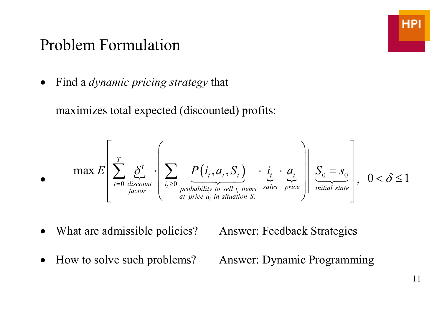#### Problem Formulation

• Find a *dynamic pricing strategy* that

maximizes total expected (discounted) profits:

$$
\bullet \qquad \max E\left[\sum_{t=0}^{T} \underbrace{\delta^{t}}_{\text{discount}} \cdot \left\{\sum_{i_t \geq 0} \underbrace{P(i_t, a_t, S_t)}_{\text{probability to sell } i_t \text{ items}} \cdot \underbrace{i_t}_{\text{sales}} \cdot \underbrace{a_t}_{\text{price}}\right\}\right], \quad 0 < \delta \leq 1
$$

What are admissible policies? Answer: Feedback Strategies

• How to solve such problems? Answer: Dynamic Programming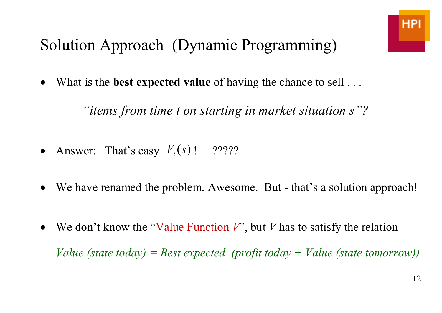# Solution Approach (Dynamic Programming)

What is the **best expected value** of having the chance to sell . . .

 *"items from time t on starting in market situation s"?* 

- Answer: That's easy  $V_t(s)$  ! ?????
- We have renamed the problem. Awesome. But that's a solution approach!
- We don't know the "Value Function *V*", but *V* has to satisfy the relation

 *Value (state today) = Best expected (profit today + Value (state tomorrow))*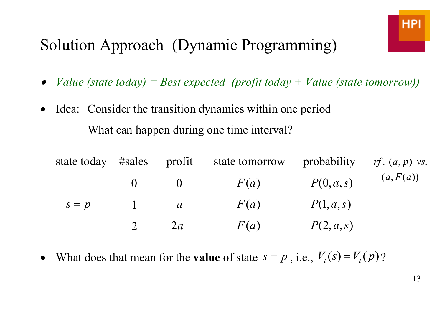# Solution Approach (Dynamic Programming)

- •*Value (state today) = Best expected (profit today + Value (state tomorrow))*
- Idea: Consider the transition dynamics within one period What can happen during one time interval?

| state today | #sales | profit        | state tomorrow |          | probability $rf. (a, p)$ vs. |
|-------------|--------|---------------|----------------|----------|------------------------------|
|             |        | 0             | F(a)           | P(0,a,s) | (a, F(a))                    |
| $s = p$     |        | $\mathfrak a$ | F(a)           | P(1,a,s) |                              |
|             |        | 2a            | F(a)           | P(2,a,s) |                              |

What does that mean for the **value** of state  $s = p$ , i.e.,  $V_t(s) = V_t(p)$ ?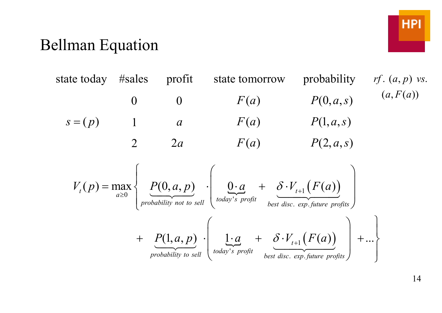#### Bellman Equation



14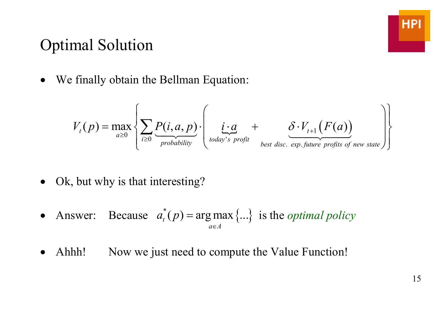#### Optimal Solution

• We finally obtain the Bellman Equation:

$$
V_{t}(p) = \max_{a \geq 0} \left\{ \sum_{i \geq 0} \underbrace{P(i, a, p)}_{\text{probability}} \cdot \left( \underbrace{i \cdot a}_{\text{today's profit}} + \underbrace{\delta \cdot V_{t+1}(F(a))}_{\text{best disc. exp. future profits of new state}} \right) \right\}
$$

- Ok, but why is that interesting?
- Answer: Because  $a_t^*(p) = \argmax_{a \in A} \{...\}$  is the *optimal policy* =
- Ahhh! Now we just need to compute the Value Function!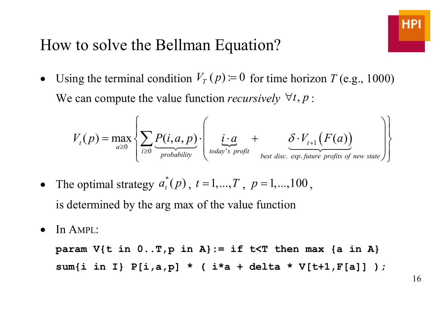#### How to solve the Bellman Equation?

• Using the terminal condition  $V_T(p) = 0$  for time horizon  $T$  (e.g., 1000) We can compute the value function *recursively*  $\forall t, p$ :

$$
V_{t}(p) = \max_{a \geq 0} \left\{ \sum_{i \geq 0} \underbrace{P(i, a, p)}_{\text{probability}} \cdot \left( \underbrace{i \cdot a}_{\text{body's profit}} + \underbrace{\delta \cdot V_{t+1}(F(a))}_{\text{best disc. exp.future profits of new state}} \right) \right\}
$$

- The optimal strategy  $a_t^*(p)$ , *t* $a_i(p)$ ,  $t = 1,...,T$ ,  $p = 1,...,100$ , is determined by the arg max of the value function
- In AMPL:

param  $V\{t in 0..T, p in A\} := if  $t \leq T$  then max  $\{a \in A\}$$  **sum{i in I} P[i,a,p] \* ( i\*a + delta \* V[t+1,F[a]] );**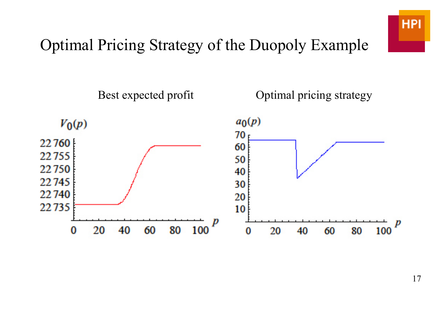

# Optimal Pricing Strategy of the Duopoly Example

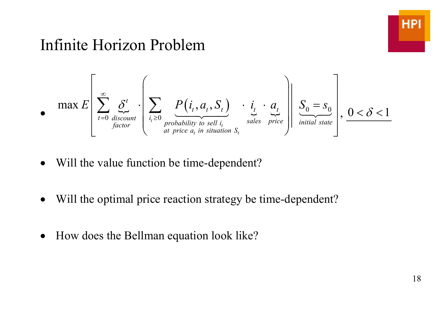

#### Infinite Horizon Problem

$$
\bullet \quad \max E\left[\sum_{t=0}^{\infty} \underbrace{\delta^{t}}_{\text{discount}} \cdot \left(\sum_{i_t \geq 0} \underbrace{P(i_t, a_t, S_t)}_{\text{probability to sell } i_t} \cdot \underbrace{i_t}_{\text{sales}} \cdot \underbrace{a_t}_{\text{price}}\right)\right] \underbrace{S_0 = S_0}_{\text{initial state}}\right], \underbrace{0 < \delta < 1}_{\text{initial state}}
$$

- Will the value function be time-dependent?
- Will the optimal price reaction strategy be time-dependent?
- How does the Bellman equation look like?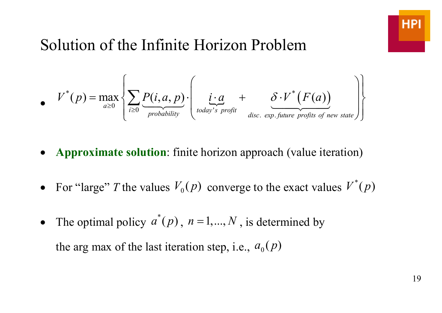# Solution of the Infinite Horizon Problem

$$
V^*(p) = \max_{a \geq 0} \left\{ \sum_{i \geq 0} \underbrace{P(i, a, p)}_{\text{probability}} \cdot \left( \underbrace{i \cdot a}_{\text{today's profit}} + \underbrace{\delta \cdot V^*(F(a))}_{\text{disc. exp.future profits of new state}} \right) \right\}
$$

- **Approximate solution**: finite horizon approach (value iteration)
- For "large" *T* the values  $V_0(p)$  converge to the exact values  $V^*(p)$
- The optimal policy  $a^*$  $a^r(p)$ ,  $n = 1,..., N$ , is determined by the arg max of the last iteration step, i.e.,  $a_0(p)$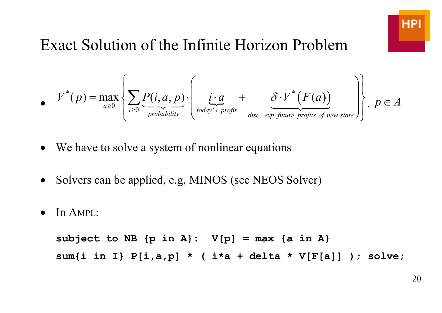

#### Exact Solution of the Infinite Horizon Problem

$$
V^*(p) = \max_{a \geq 0} \left\{ \sum_{i \geq 0} \underbrace{P(i, a, p)}_{\text{probability}} \cdot \left( \underbrace{i \cdot a}_{\text{today's profit}} + \underbrace{\delta \cdot V^*(F(a))}_{\text{disc. exp.future profits of new state}} \right) \right\}, \ p \in A
$$

- We have to solve a system of nonlinear equations
- Solvers can be applied, e.g, MINOS (see NEOS Solver)
- In AMPL:

subject to NB  $\{p \text{ in } A\}$ :  $V[p] = max \{a \text{ in } A\}$  **sum{i in I} P[i,a,p] \* ( i\*a + delta \* V[F[a]] ); solve;**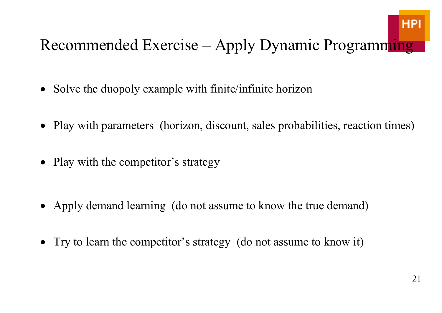# **HPI**

# Recommended Exercise – Apply Dynamic Programming

- Solve the duopoly example with finite/infinite horizon
- Play with parameters (horizon, discount, sales probabilities, reaction times)
- Play with the competitor's strategy
- Apply demand learning (do not assume to know the true demand)
- Try to learn the competitor's strategy (do not assume to know it)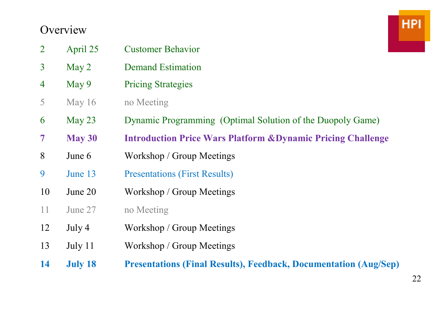#### **Overview**

| $\overline{2}$ | April 25       | <b>Customer Behavior</b>                                                |
|----------------|----------------|-------------------------------------------------------------------------|
| $\overline{3}$ | May 2          | <b>Demand Estimation</b>                                                |
| 4              | May 9          | <b>Pricing Strategies</b>                                               |
| 5              | May 16         | no Meeting                                                              |
| 6              | May $23$       | Dynamic Programming (Optimal Solution of the Duopoly Game)              |
| $\overline{7}$ | May 30         | <b>Introduction Price Wars Platform &amp; Dynamic Pricing Challenge</b> |
| 8              | June 6         | Workshop / Group Meetings                                               |
| 9              | June 13        | <b>Presentations (First Results)</b>                                    |
| 10             | June 20        | Workshop / Group Meetings                                               |
| 11             | June 27        | no Meeting                                                              |
| 12             | July 4         | Workshop / Group Meetings                                               |
| 13             | July 11        | Workshop / Group Meetings                                               |
| 14             | <b>July 18</b> | <b>Presentations (Final Results), Feedback, Documentation (Aug/Sep)</b> |